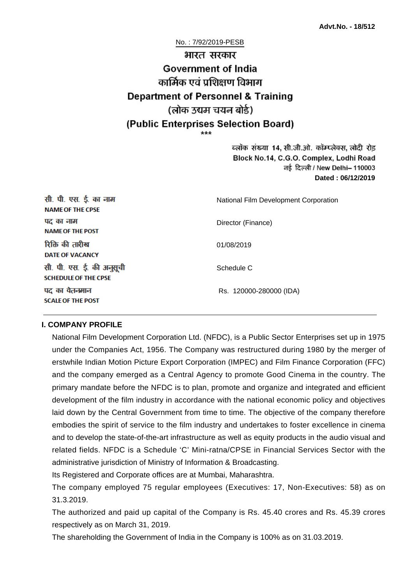No. : 7/92/2019-PESB

# भारत सरकार **Government of India** कार्मिक एवं पशिक्षण विभाग **Department of Personnel & Training** (लोक उद्यम चयन बोर्ड) (Public Enterprises Selection Board)

ब्लॉक संख्या 14, सी.जी.ओ. कॉम्प्लेक्स, लोदी रोड Block No.14, C.G.O. Complex, Lodhi Road ਰई दिल्ली / New Delhi– 110003 **Dated : 06/12/2019**

| सी. पी. एस. ई. का नाम<br><b>NAME OF THE CPSE</b>         | National Film Development Corporation |
|----------------------------------------------------------|---------------------------------------|
| पद का नाम<br><b>NAME OF THE POST</b>                     | Director (Finance)                    |
| रिक्ति की तारीख<br><b>DATE OF VACANCY</b>                | 01/08/2019                            |
| सी. पी. एस. ई. की अनुसूची<br><b>SCHEDULE OF THE CPSE</b> | Schedule C                            |
| पद का वेतनमान<br><b>SCALE OF THE POST</b>                | Rs. 120000-280000 (IDA)               |

#### **I. COMPANY PROFILE**

National Film Development Corporation Ltd. (NFDC), is a Public Sector Enterprises set up in 1975 under the Companies Act, 1956. The Company was restructured during 1980 by the merger of erstwhile Indian Motion Picture Export Corporation (IMPEC) and Film Finance Corporation (FFC) and the company emerged as a Central Agency to promote Good Cinema in the country. The primary mandate before the NFDC is to plan, promote and organize and integrated and efficient development of the film industry in accordance with the national economic policy and objectives laid down by the Central Government from time to time. The objective of the company therefore embodies the spirit of service to the film industry and undertakes to foster excellence in cinema and to develop the state-of-the-art infrastructure as well as equity products in the audio visual and related fields. NFDC is a Schedule 'C' Mini-ratna/CPSE in Financial Services Sector with the administrative jurisdiction of Ministry of Information & Broadcasting.

Its Registered and Corporate offices are at Mumbai, Maharashtra.

The company employed 75 regular employees (Executives: 17, Non-Executives: 58) as on 31.3.2019.

The authorized and paid up capital of the Company is Rs. 45.40 crores and Rs. 45.39 crores respectively as on March 31, 2019.

The shareholding the Government of India in the Company is 100% as on 31.03.2019.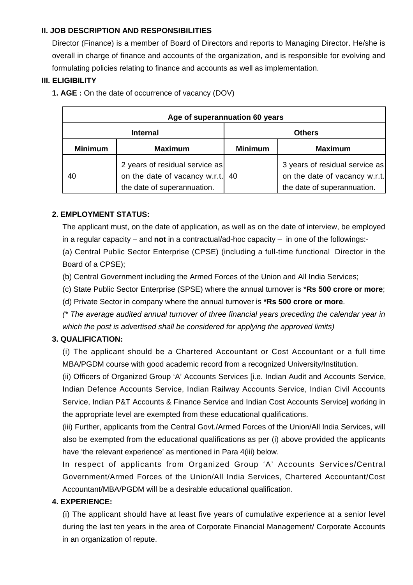### **II. JOB DESCRIPTION AND RESPONSIBILITIES**

Director (Finance) is a member of Board of Directors and reports to Managing Director. He/she is overall in charge of finance and accounts of the organization, and is responsible for evolving and formulating policies relating to finance and accounts as well as implementation.

#### **III. ELIGIBILITY**

**1. AGE :** On the date of occurrence of vacancy (DOV)

| Age of superannuation 60 years |                                                                                                |                |                                                                                                |
|--------------------------------|------------------------------------------------------------------------------------------------|----------------|------------------------------------------------------------------------------------------------|
| <b>Internal</b>                |                                                                                                |                | <b>Others</b>                                                                                  |
| <b>Minimum</b>                 | <b>Maximum</b>                                                                                 | <b>Minimum</b> | <b>Maximum</b>                                                                                 |
| 40                             | 2 years of residual service as<br>on the date of vacancy w.r.t.<br>the date of superannuation. | 40             | 3 years of residual service as<br>on the date of vacancy w.r.t.<br>the date of superannuation. |

### **2. EMPLOYMENT STATUS:**

The applicant must, on the date of application, as well as on the date of interview, be employed in a regular capacity – and **not** in a contractual/ad-hoc capacity – in one of the followings:-

(a) Central Public Sector Enterprise (CPSE) (including a full-time functional Director in the Board of a CPSE);

- (b) Central Government including the Armed Forces of the Union and All India Services;
- (c) State Public Sector Enterprise (SPSE) where the annual turnover is \***Rs 500 crore or more**;
- (d) Private Sector in company where the annual turnover is **\*Rs 500 crore or more**.

(\* The average audited annual turnover of three financial years preceding the calendar year in which the post is advertised shall be considered for applying the approved limits)

# **3. QUALIFICATION:**

(i) The applicant should be a Chartered Accountant or Cost Accountant or a full time MBA/PGDM course with good academic record from a recognized University/Institution.

(ii) Officers of Organized Group 'A' Accounts Services [i.e. Indian Audit and Accounts Service, Indian Defence Accounts Service, Indian Railway Accounts Service, Indian Civil Accounts Service, Indian P&T Accounts & Finance Service and Indian Cost Accounts Service] working in the appropriate level are exempted from these educational qualifications.

(iii) Further, applicants from the Central Govt./Armed Forces of the Union/All India Services, will also be exempted from the educational qualifications as per (i) above provided the applicants have 'the relevant experience' as mentioned in Para 4(iii) below.

In respect of applicants from Organized Group 'A' Accounts Services/Central Government/Armed Forces of the Union/All India Services, Chartered Accountant/Cost Accountant/MBA/PGDM will be a desirable educational qualification.

### **4. EXPERIENCE:**

(i) The applicant should have at least five years of cumulative experience at a senior level during the last ten years in the area of Corporate Financial Management/ Corporate Accounts in an organization of repute.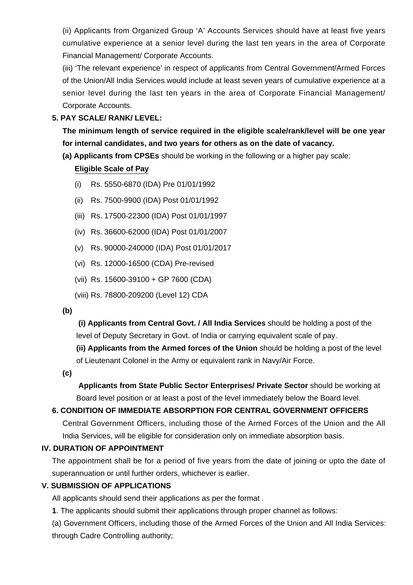(ii) Applicants from Organized Group 'A' Accounts Services should have at least five years cumulative experience at a senior level during the last ten years in the area of Corporate Financial Management/ Corporate Accounts.

(iii) 'The relevant experience' in respect of applicants from Central Government/Armed Forces of the Union/All India Services would include at least seven years of cumulative experience at a senior level during the last ten years in the area of Corporate Financial Management/ Corporate Accounts.

## **5. PAY SCALE/ RANK/ LEVEL:**

**The minimum length of service required in the eligible scale/rank/level will be one year for internal candidates, and two years for others as on the date of vacancy.**

**(a) Applicants from CPSEs** should be working in the following or a higher pay scale:

### **Eligible Scale of Pay**

- (i) Rs. 5550-6870 (IDA) Pre 01/01/1992
- (ii) Rs. 7500-9900 (IDA) Post 01/01/1992
- (iii) Rs. 17500-22300 (IDA) Post 01/01/1997
- (iv) Rs. 36600-62000 (IDA) Post 01/01/2007
- (v) Rs. 90000-240000 (IDA) Post 01/01/2017
- (vi) Rs. 12000-16500 (CDA) Pre-revised
- (vii) Rs. 15600-39100 + GP 7600 (CDA)
- (viii) Rs. 78800-209200 (Level 12) CDA
- **(b)**

**(i) Applicants from Central Govt. / All India Services** should be holding a post of the level of Deputy Secretary in Govt. of India or carrying equivalent scale of pay.

**(ii) Applicants from the Armed forces of the Union** should be holding a post of the level of Lieutenant Colonel in the Army or equivalent rank in Navy/Air Force.

**(c)**

 **Applicants from State Public Sector Enterprises/ Private Sector** should be working at Board level position or at least a post of the level immediately below the Board level.

# **6. CONDITION OF IMMEDIATE ABSORPTION FOR CENTRAL GOVERNMENT OFFICERS**

Central Government Officers, including those of the Armed Forces of the Union and the All India Services, will be eligible for consideration only on immediate absorption basis.

#### **IV. DURATION OF APPOINTMENT**

The appointment shall be for a period of five years from the date of joining or upto the date of superannuation or until further orders, whichever is earlier.

# **V. SUBMISSION OF APPLICATIONS**

All applicants should send their applications as per the format .

**1**. The applicants should submit their applications through proper channel as follows:

(a) Government Officers, including those of the Armed Forces of the Union and All India Services: through Cadre Controlling authority;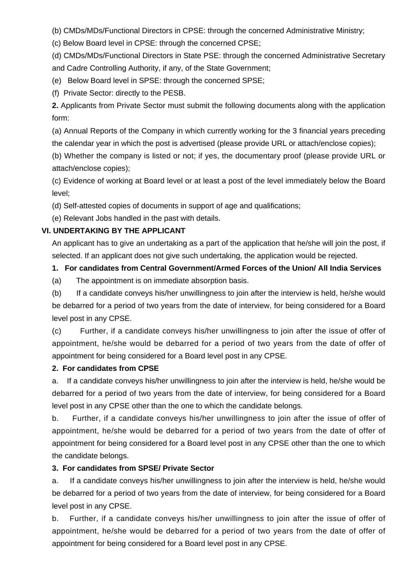(b) CMDs/MDs/Functional Directors in CPSE: through the concerned Administrative Ministry;

(c) Below Board level in CPSE: through the concerned CPSE;

(d) CMDs/MDs/Functional Directors in State PSE: through the concerned Administrative Secretary and Cadre Controlling Authority, if any, of the State Government;

(e) Below Board level in SPSE: through the concerned SPSE;

(f) Private Sector: directly to the PESB.

**2.** Applicants from Private Sector must submit the following documents along with the application form:

(a) Annual Reports of the Company in which currently working for the 3 financial years preceding the calendar year in which the post is advertised (please provide URL or attach/enclose copies);

(b) Whether the company is listed or not; if yes, the documentary proof (please provide URL or attach/enclose copies);

(c) Evidence of working at Board level or at least a post of the level immediately below the Board level;

(d) Self-attested copies of documents in support of age and qualifications;

(e) Relevant Jobs handled in the past with details.

### **VI. UNDERTAKING BY THE APPLICANT**

An applicant has to give an undertaking as a part of the application that he/she will join the post, if selected. If an applicant does not give such undertaking, the application would be rejected.

**1. For candidates from Central Government/Armed Forces of the Union/ All India Services**

(a) The appointment is on immediate absorption basis.

(b) If a candidate conveys his/her unwillingness to join after the interview is held, he/she would be debarred for a period of two years from the date of interview, for being considered for a Board level post in any CPSE.

(c) Further, if a candidate conveys his/her unwillingness to join after the issue of offer of appointment, he/she would be debarred for a period of two years from the date of offer of appointment for being considered for a Board level post in any CPSE.

#### **2. For candidates from CPSE**

a. If a candidate conveys his/her unwillingness to join after the interview is held, he/she would be debarred for a period of two years from the date of interview, for being considered for a Board level post in any CPSE other than the one to which the candidate belongs.

b. Further, if a candidate conveys his/her unwillingness to join after the issue of offer of appointment, he/she would be debarred for a period of two years from the date of offer of appointment for being considered for a Board level post in any CPSE other than the one to which the candidate belongs.

#### **3. For candidates from SPSE/ Private Sector**

a. If a candidate conveys his/her unwillingness to join after the interview is held, he/she would be debarred for a period of two years from the date of interview, for being considered for a Board level post in any CPSE.

b. Further, if a candidate conveys his/her unwillingness to join after the issue of offer of appointment, he/she would be debarred for a period of two years from the date of offer of appointment for being considered for a Board level post in any CPSE.